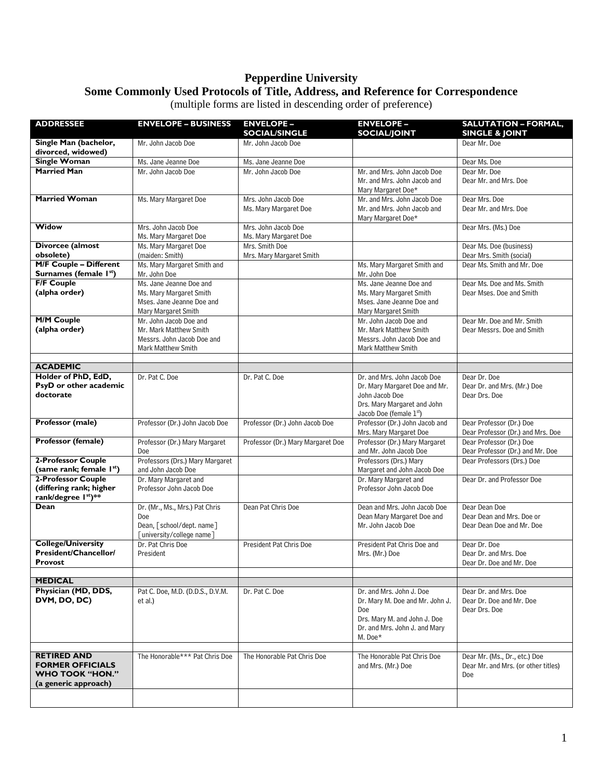## **Pepperdine University Some Commonly Used Protocols of Title, Address, and Reference for Correspondence**

|  | (multiple forms are listed in descending order of preference) |
|--|---------------------------------------------------------------|
|  |                                                               |

| <b>ADDRESSEE</b>                                                                         | <b>ENVELOPE - BUSINESS</b>                                                                                  | <b>ENVELOPE -</b><br><b>SOCIAL/SINGLE</b>    | <b>ENVELOPE -</b><br><b>SOCIAL/JOINT</b>                                                                             | <b>SALUTATION - FORMAL,</b><br><b>SINGLE &amp; JOINT</b>                    |
|------------------------------------------------------------------------------------------|-------------------------------------------------------------------------------------------------------------|----------------------------------------------|----------------------------------------------------------------------------------------------------------------------|-----------------------------------------------------------------------------|
| Single Man (bachelor,<br>divorced, widowed)                                              | Mr. John Jacob Doe                                                                                          | Mr. John Jacob Doe                           |                                                                                                                      | Dear Mr. Doe                                                                |
| <b>Single Woman</b>                                                                      | Ms. Jane Jeanne Doe                                                                                         | Ms. Jane Jeanne Doe                          |                                                                                                                      | Dear Ms. Doe                                                                |
| <b>Married Man</b>                                                                       | Mr. John Jacob Doe                                                                                          | Mr. John Jacob Doe                           | Mr. and Mrs. John Jacob Doe<br>Mr. and Mrs. John Jacob and<br>Mary Margaret Doe*                                     | Dear Mr. Doe<br>Dear Mr. and Mrs. Doe                                       |
| <b>Married Woman</b>                                                                     | Ms. Mary Margaret Doe                                                                                       | Mrs. John Jacob Doe<br>Ms. Mary Margaret Doe | Mr. and Mrs. John Jacob Doe<br>Mr. and Mrs. John Jacob and<br>Mary Margaret Doe*                                     | Dear Mrs. Doe<br>Dear Mr. and Mrs. Doe                                      |
| Widow                                                                                    | Mrs. John Jacob Doe<br>Ms. Mary Margaret Doe                                                                | Mrs. John Jacob Doe<br>Ms. Mary Margaret Doe |                                                                                                                      | Dear Mrs. (Ms.) Doe                                                         |
| Divorcee (almost                                                                         | Ms. Mary Margaret Doe                                                                                       | Mrs. Smith Doe                               |                                                                                                                      | Dear Ms. Doe (business)                                                     |
| obsolete)                                                                                | (maiden: Smith)                                                                                             | Mrs. Mary Margaret Smith                     |                                                                                                                      | Dear Mrs. Smith (social)                                                    |
| <b>M/F Couple - Different</b>                                                            | Ms. Mary Margaret Smith and                                                                                 |                                              | Ms. Mary Margaret Smith and                                                                                          | Dear Ms. Smith and Mr. Doe                                                  |
| Surnames (female 1st)                                                                    | Mr. John Doe                                                                                                |                                              | Mr. John Doe                                                                                                         |                                                                             |
| <b>F/F Couple</b>                                                                        | Ms. Jane Jeanne Doe and                                                                                     |                                              | Ms. Jane Jeanne Doe and                                                                                              | Dear Ms. Doe and Ms. Smith                                                  |
| (alpha order)                                                                            | Ms. Mary Margaret Smith<br>Mses. Jane Jeanne Doe and<br>Mary Margaret Smith                                 |                                              | Ms. Mary Margaret Smith<br>Mses, Jane Jeanne Doe and<br>Mary Margaret Smith                                          | Dear Mses. Doe and Smith                                                    |
| <b>M/M Couple</b><br>(alpha order)                                                       | Mr. John Jacob Doe and<br>Mr. Mark Matthew Smith<br>Messrs. John Jacob Doe and<br><b>Mark Matthew Smith</b> |                                              | Mr. John Jacob Doe and<br>Mr. Mark Matthew Smith<br>Messrs. John Jacob Doe and<br><b>Mark Matthew Smith</b>          | Dear Mr. Doe and Mr. Smith<br>Dear Messrs. Doe and Smith                    |
|                                                                                          |                                                                                                             |                                              |                                                                                                                      |                                                                             |
| <b>ACADEMIC</b>                                                                          |                                                                                                             |                                              |                                                                                                                      |                                                                             |
| Holder of PhD, EdD,                                                                      | Dr. Pat C. Doe                                                                                              | Dr. Pat C. Doe                               | Dr. and Mrs. John Jacob Doe                                                                                          | Dear Dr. Doe                                                                |
| PsyD or other academic                                                                   |                                                                                                             |                                              | Dr. Mary Margaret Doe and Mr.                                                                                        | Dear Dr. and Mrs. (Mr.) Doe                                                 |
| doctorate                                                                                |                                                                                                             |                                              | John Jacob Doe<br>Drs. Mary Margaret and John<br>Jacob Doe (female 1st)                                              | Dear Drs. Doe                                                               |
| Professor (male)                                                                         | Professor (Dr.) John Jacob Doe                                                                              | Professor (Dr.) John Jacob Doe               | Professor (Dr.) John Jacob and<br>Mrs. Mary Margaret Doe                                                             | Dear Professor (Dr.) Doe<br>Dear Professor (Dr.) and Mrs. Doe               |
| <b>Professor (female)</b>                                                                | Professor (Dr.) Mary Margaret<br>Doe                                                                        | Professor (Dr.) Mary Margaret Doe            | Professor (Dr.) Mary Margaret<br>and Mr. John Jacob Doe                                                              | Dear Professor (Dr.) Doe<br>Dear Professor (Dr.) and Mr. Doe                |
| 2-Professor Couple<br>(same rank; female I <sup>st</sup> )                               | Professors (Drs.) Mary Margaret<br>and John Jacob Doe                                                       |                                              | Professors (Drs.) Mary<br>Margaret and John Jacob Doe                                                                | Dear Professors (Drs.) Doe                                                  |
| 2-Professor Couple<br>(differing rank; higher<br>rank/degree Ist)**                      | Dr. Mary Margaret and<br>Professor John Jacob Doe                                                           |                                              | Dr. Mary Margaret and<br>Professor John Jacob Doe                                                                    | Dear Dr. and Professor Doe                                                  |
| Dean                                                                                     | Dr. (Mr., Ms., Mrs.) Pat Chris<br>Doe<br>Dean, [school/dept. name]<br>[university/college name]             | Dean Pat Chris Doe                           | Dean and Mrs. John Jacob Doe<br>Dean Mary Margaret Doe and<br>Mr. John Jacob Doe                                     | Dear Dean Doe<br>Dear Dean and Mrs. Doe or<br>Dear Dean Doe and Mr. Doe     |
| <b>College/University</b><br>President/Chancellor/<br><b>Provost</b>                     | Dr. Pat Chris Doe<br>President                                                                              | <b>President Pat Chris Doe</b>               | President Pat Chris Doe and<br>Mrs. (Mr.) Doe                                                                        | Dear Dr. Doe<br>Dear Dr. and Mrs. Doe<br>Dear Dr. Doe and Mr. Doe           |
| <b>MEDICAL</b>                                                                           |                                                                                                             |                                              |                                                                                                                      |                                                                             |
| Physician (MD, DDS,                                                                      |                                                                                                             |                                              | Dr. and Mrs. John J. Doe                                                                                             | Dear Dr. and Mrs. Doe                                                       |
| DVM, DO, DC)                                                                             | Pat C. Doe, M.D. (D.D.S., D.V.M.<br>et al.)                                                                 | Dr. Pat C. Doe                               | Dr. Mary M. Doe and Mr. John J.<br>Doe<br>Drs. Mary M. and John J. Doe<br>Dr. and Mrs. John J. and Mary<br>$M. Doe*$ | Dear Dr. Doe and Mr. Doe<br>Dear Drs. Doe                                   |
| <b>RETIRED AND</b><br><b>FORMER OFFICIALS</b><br>WHO TOOK "HON."<br>(a generic approach) | The Honorable*** Pat Chris Doe                                                                              | The Honorable Pat Chris Doe                  | The Honorable Pat Chris Doe<br>and Mrs. (Mr.) Doe                                                                    | Dear Mr. (Ms., Dr., etc.) Doe<br>Dear Mr. and Mrs. (or other titles)<br>Doe |
|                                                                                          |                                                                                                             |                                              |                                                                                                                      |                                                                             |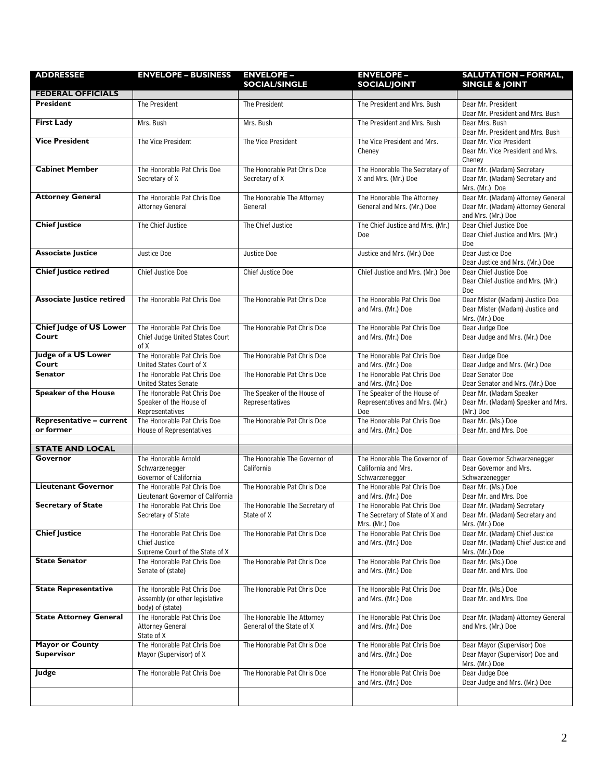| <b>ADDRESSEE</b>                 | <b>ENVELOPE - BUSINESS</b>                              | <b>ENVELOPE -</b>                              | <b>ENVELOPE -</b>                                        | <b>SALUTATION - FORMAL,</b>                                            |
|----------------------------------|---------------------------------------------------------|------------------------------------------------|----------------------------------------------------------|------------------------------------------------------------------------|
| <b>FEDERAL OFFICIALS</b>         |                                                         | <b>SOCIAL/SINGLE</b>                           | <b>SOCIAL/JOINT</b>                                      | <b>SINGLE &amp; JOINT</b>                                              |
| <b>President</b>                 | The President                                           | The President                                  | The President and Mrs. Bush                              | Dear Mr. President                                                     |
|                                  |                                                         |                                                |                                                          | Dear Mr. President and Mrs. Bush                                       |
| <b>First Lady</b>                | Mrs. Bush                                               | Mrs. Bush                                      | The President and Mrs. Bush                              | Dear Mrs. Bush<br>Dear Mr. President and Mrs. Bush                     |
| <b>Vice President</b>            | The Vice President                                      | The Vice President                             | The Vice President and Mrs.                              | Dear Mr. Vice President                                                |
|                                  |                                                         |                                                | Cheney                                                   | Dear Mr. Vice President and Mrs.<br>Cheney                             |
| <b>Cabinet Member</b>            | The Honorable Pat Chris Doe                             | The Honorable Pat Chris Doe                    | The Honorable The Secretary of                           | Dear Mr. (Madam) Secretary<br>Dear Mr. (Madam) Secretary and           |
|                                  | Secretary of X                                          | Secretary of X                                 | X and Mrs. (Mr.) Doe                                     | Mrs. (Mr.) Doe                                                         |
| <b>Attorney General</b>          | The Honorable Pat Chris Doe<br>Attorney General         | The Honorable The Attorney<br>General          | The Honorable The Attorney<br>General and Mrs. (Mr.) Doe | Dear Mr. (Madam) Attorney General<br>Dear Mr. (Madam) Attorney General |
| <b>Chief Justice</b>             |                                                         |                                                |                                                          | and Mrs. (Mr.) Doe                                                     |
|                                  | The Chief Justice                                       | The Chief Justice                              | The Chief Justice and Mrs. (Mr.)<br>Doe                  | Dear Chief Justice Doe<br>Dear Chief Justice and Mrs. (Mr.)            |
|                                  |                                                         |                                                |                                                          | Doe                                                                    |
| <b>Associate Justice</b>         | Justice Doe                                             | Justice Doe                                    | Justice and Mrs. (Mr.) Doe                               | Dear Justice Doe<br>Dear Justice and Mrs. (Mr.) Doe                    |
| <b>Chief Justice retired</b>     | Chief Justice Doe                                       | Chief Justice Doe                              | Chief Justice and Mrs. (Mr.) Doe                         | Dear Chief Justice Doe                                                 |
|                                  |                                                         |                                                |                                                          | Dear Chief Justice and Mrs. (Mr.)<br>Doe                               |
| <b>Associate Justice retired</b> | The Honorable Pat Chris Doe                             | The Honorable Pat Chris Doe                    | The Honorable Pat Chris Doe                              | Dear Mister (Madam) Justice Doe                                        |
|                                  |                                                         |                                                | and Mrs. (Mr.) Doe                                       | Dear Mister (Madam) Justice and                                        |
| <b>Chief Judge of US Lower</b>   | The Honorable Pat Chris Doe                             | The Honorable Pat Chris Doe                    | The Honorable Pat Chris Doe                              | Mrs. (Mr.) Doe<br>Dear Judge Doe                                       |
| Court                            | Chief Judge United States Court<br>of X                 |                                                | and Mrs. (Mr.) Doe                                       | Dear Judge and Mrs. (Mr.) Doe                                          |
| Judge of a US Lower              | The Honorable Pat Chris Doe                             | The Honorable Pat Chris Doe                    | The Honorable Pat Chris Doe                              | Dear Judge Doe                                                         |
| Court<br>Senator                 | United States Court of X<br>The Honorable Pat Chris Doe | The Honorable Pat Chris Doe                    | and Mrs. (Mr.) Doe<br>The Honorable Pat Chris Doe        | Dear Judge and Mrs. (Mr.) Doe<br>Dear Senator Doe                      |
|                                  | <b>United States Senate</b>                             |                                                | and Mrs. (Mr.) Doe                                       | Dear Senator and Mrs. (Mr.) Doe                                        |
| <b>Speaker of the House</b>      | The Honorable Pat Chris Doe<br>Speaker of the House of  | The Speaker of the House of<br>Representatives | The Speaker of the House of                              | Dear Mr. (Madam Speaker                                                |
|                                  | Representatives                                         |                                                | Representatives and Mrs. (Mr.)<br>Doe                    | Dear Mr. (Madam) Speaker and Mrs.<br>(Mr.) Doe                         |
| <b>Representative - current</b>  | The Honorable Pat Chris Doe                             | The Honorable Pat Chris Doe                    | The Honorable Pat Chris Doe                              | Dear Mr. (Ms.) Doe                                                     |
| or former                        | House of Representatives                                |                                                | and Mrs. (Mr.) Doe                                       | Dear Mr. and Mrs. Doe                                                  |
| <b>STATE AND LOCAL</b>           |                                                         |                                                |                                                          |                                                                        |
| Governor                         | The Honorable Arnold                                    | The Honorable The Governor of                  | The Honorable The Governor of                            | Dear Governor Schwarzenegger                                           |
|                                  | Schwarzenegger<br>Governor of California                | California                                     | California and Mrs.<br>Schwarzenegger                    | Dear Governor and Mrs.<br>Schwarzenegger                               |
| <b>Lieutenant Governor</b>       | The Honorable Pat Chris Doe                             | The Honorable Pat Chris Doe                    | The Honorable Pat Chris Doe                              | Dear Mr. (Ms.) Doe                                                     |
| <b>Secretary of State</b>        | Lieutenant Governor of California                       | The Honorable The Secretary of                 | and Mrs. (Mr.) Doe<br>The Honorable Pat Chris Doe        | Dear Mr. and Mrs. Doe<br>Dear Mr. (Madam) Secretary                    |
|                                  | The Honorable Pat Chris Doe<br>Secretary of State       | State of X                                     | The Secretary of State of X and                          | Dear Mr. (Madam) Secretary and                                         |
|                                  |                                                         |                                                | Mrs. (Mr.) Doe                                           | Mrs. (Mr.) Doe                                                         |
| <b>Chief Justice</b>             | The Honorable Pat Chris Doe<br>Chief Justice            | The Honorable Pat Chris Doe                    | The Honorable Pat Chris Doe<br>and Mrs. (Mr.) Doe        | Dear Mr. (Madam) Chief Justice<br>Dear Mr. (Madam) Chief Justice and   |
|                                  | Supreme Court of the State of X                         |                                                |                                                          | Mrs. (Mr.) Doe                                                         |
| <b>State Senator</b>             | The Honorable Pat Chris Doe<br>Senate of (state)        | The Honorable Pat Chris Doe                    | The Honorable Pat Chris Doe<br>and Mrs. (Mr.) Doe        | Dear Mr. (Ms.) Doe<br>Dear Mr. and Mrs. Doe                            |
| <b>State Representative</b>      | The Honorable Pat Chris Doe                             | The Honorable Pat Chris Doe                    | The Honorable Pat Chris Doe                              | Dear Mr. (Ms.) Doe                                                     |
|                                  | Assembly (or other legislative<br>body) of (state)      |                                                | and Mrs. (Mr.) Doe                                       | Dear Mr. and Mrs. Doe                                                  |
| <b>State Attorney General</b>    | The Honorable Pat Chris Doe                             | The Honorable The Attorney                     | The Honorable Pat Chris Doe                              | Dear Mr. (Madam) Attorney General                                      |
|                                  | <b>Attorney General</b><br>State of X                   | General of the State of X                      | and Mrs. (Mr.) Doe                                       | and Mrs. (Mr.) Doe                                                     |
| <b>Mayor or County</b>           | The Honorable Pat Chris Doe                             | The Honorable Pat Chris Doe                    | The Honorable Pat Chris Doe                              | Dear Mayor (Supervisor) Doe                                            |
| <b>Supervisor</b>                | Mayor (Supervisor) of X                                 |                                                | and Mrs. (Mr.) Doe                                       | Dear Mayor (Supervisor) Doe and<br>Mrs. (Mr.) Doe                      |
| Judge                            | The Honorable Pat Chris Doe                             | The Honorable Pat Chris Doe                    | The Honorable Pat Chris Doe                              | Dear Judge Doe                                                         |
|                                  |                                                         |                                                | and Mrs. (Mr.) Doe                                       | Dear Judge and Mrs. (Mr.) Doe                                          |
|                                  |                                                         |                                                |                                                          |                                                                        |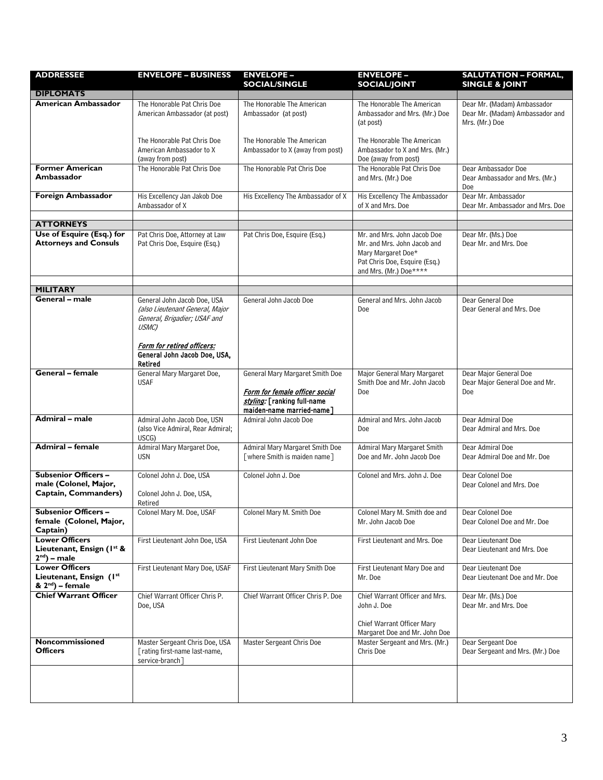| <b>ADDRESSEE</b>                                                             | <b>ENVELOPE - BUSINESS</b>                                                                                                            | <b>ENVELOPE -</b><br><b>SOCIAL/SINGLE</b>                                                                                     | <b>ENVELOPE -</b><br><b>SOCIAL/JOINT</b>                                                                     | <b>SALUTATION - FORMAL,</b><br><b>SINGLE &amp; JOINT</b>                         |
|------------------------------------------------------------------------------|---------------------------------------------------------------------------------------------------------------------------------------|-------------------------------------------------------------------------------------------------------------------------------|--------------------------------------------------------------------------------------------------------------|----------------------------------------------------------------------------------|
| <b>DIPLOMATS</b>                                                             |                                                                                                                                       |                                                                                                                               |                                                                                                              |                                                                                  |
| American Ambassador                                                          | The Honorable Pat Chris Doe<br>American Ambassador (at post)                                                                          | The Honorable The American<br>Ambassador (at post)                                                                            | The Honorable The American<br>Ambassador and Mrs. (Mr.) Doe<br>(at post)                                     | Dear Mr. (Madam) Ambassador<br>Dear Mr. (Madam) Ambassador and<br>Mrs. (Mr.) Doe |
|                                                                              | The Honorable Pat Chris Doe<br>American Ambassador to X<br>(away from post)                                                           | The Honorable The American<br>Ambassador to X (away from post)                                                                | The Honorable The American<br>Ambassador to X and Mrs. (Mr.)<br>Doe (away from post)                         |                                                                                  |
| <b>Former American</b><br>Ambassador                                         | The Honorable Pat Chris Doe                                                                                                           | The Honorable Pat Chris Doe                                                                                                   | The Honorable Pat Chris Doe<br>and Mrs. (Mr.) Doe                                                            | Dear Ambassador Doe<br>Dear Ambassador and Mrs. (Mr.)<br>Doe                     |
| Foreign Ambassador                                                           | His Excellency Jan Jakob Doe<br>Ambassador of X                                                                                       | His Excellency The Ambassador of X                                                                                            | His Excellency The Ambassador<br>of X and Mrs. Doe                                                           | Dear Mr. Ambassador<br>Dear Mr. Ambassador and Mrs. Doe                          |
| <b>ATTORNEYS</b>                                                             |                                                                                                                                       |                                                                                                                               |                                                                                                              |                                                                                  |
| Use of Esquire (Esq.) for                                                    | Pat Chris Doe, Attorney at Law                                                                                                        | Pat Chris Doe, Esquire (Esq.)                                                                                                 | Mr. and Mrs. John Jacob Doe                                                                                  | Dear Mr. (Ms.) Doe                                                               |
| <b>Attorneys and Consuls</b>                                                 | Pat Chris Doe, Esquire (Esq.)                                                                                                         |                                                                                                                               | Mr. and Mrs. John Jacob and<br>Mary Margaret Doe*<br>Pat Chris Doe, Esquire (Esq.)<br>and Mrs. (Mr.) Doe**** | Dear Mr. and Mrs. Doe                                                            |
|                                                                              |                                                                                                                                       |                                                                                                                               |                                                                                                              |                                                                                  |
| <b>MILITARY</b>                                                              |                                                                                                                                       |                                                                                                                               |                                                                                                              |                                                                                  |
| General – male                                                               | General John Jacob Doe, USA<br>(also Lieutenant General, Major<br>General, Brigadier; USAF and<br>USMC)<br>Form for retired officers: | General John Jacob Doe                                                                                                        | General and Mrs. John Jacob<br>Doe                                                                           | Dear General Doe<br>Dear General and Mrs. Doe                                    |
|                                                                              | General John Jacob Doe, USA,<br>Retired                                                                                               |                                                                                                                               |                                                                                                              |                                                                                  |
| General – female                                                             | General Mary Margaret Doe,<br><b>USAF</b>                                                                                             | General Mary Margaret Smith Doe<br>Form for female officer social<br>styling: [ranking full-name<br>maiden-name married-name] | Major General Mary Margaret<br>Smith Doe and Mr. John Jacob<br>Doe                                           | Dear Major General Doe<br>Dear Major General Doe and Mr.<br>Doe                  |
| Admiral - male                                                               | Admiral John Jacob Doe, USN<br>(also Vice Admiral, Rear Admiral;<br>USCG)                                                             | Admiral John Jacob Doe                                                                                                        | Admiral and Mrs. John Jacob<br>Doe                                                                           | Dear Admiral Doe<br>Dear Admiral and Mrs. Doe                                    |
| Admiral - female                                                             | Admiral Mary Margaret Doe,<br><b>USN</b>                                                                                              | Admiral Mary Margaret Smith Doe<br>[where Smith is maiden name]                                                               | Admiral Mary Margaret Smith<br>Doe and Mr. John Jacob Doe                                                    | Dear Admiral Doe<br>Dear Admiral Doe and Mr. Doe                                 |
| <b>Subsenior Officers -</b><br>male (Colonel, Major,<br>Captain, Commanders) | Colonel John J. Doe, USA<br>Colonel John J. Doe, USA,<br>Retired                                                                      | Colonel John J. Doe                                                                                                           | Colonel and Mrs. John J. Doe                                                                                 | Dear Colonel Doe<br>Dear Colonel and Mrs. Doe                                    |
| <b>Subsenior Officers -</b><br>female (Colonel, Major,<br>Captain)           | Colonel Mary M. Doe, USAF                                                                                                             | Colonel Mary M. Smith Doe                                                                                                     | Colonel Mary M. Smith doe and<br>Mr. John Jacob Doe                                                          | Dear Colonel Doe<br>Dear Colonel Doe and Mr. Doe                                 |
| <b>Lower Officers</b><br>Lieutenant, Ensign (Ist &<br>$2nd$ ) – male         | First Lieutenant John Doe, USA                                                                                                        | First Lieutenant John Doe                                                                                                     | First Lieutenant and Mrs. Doe                                                                                | Dear Lieutenant Doe<br>Dear Lieutenant and Mrs. Doe                              |
| <b>Lower Officers</b><br>Lieutenant, Ensign (Ist<br>& $2^{nd}$ ) – female    | First Lieutenant Mary Doe, USAF                                                                                                       | First Lieutenant Mary Smith Doe                                                                                               | First Lieutenant Mary Doe and<br>Mr. Doe                                                                     | Dear Lieutenant Doe<br>Dear Lieutenant Doe and Mr. Doe                           |
| <b>Chief Warrant Officer</b>                                                 | Chief Warrant Officer Chris P.<br>Doe, USA                                                                                            | Chief Warrant Officer Chris P. Doe                                                                                            | Chief Warrant Officer and Mrs.<br>John J. Doe<br>Chief Warrant Officer Mary<br>Margaret Doe and Mr. John Doe | Dear Mr. (Ms.) Doe<br>Dear Mr. and Mrs. Doe                                      |
| Noncommissioned<br><b>Officers</b>                                           | Master Sergeant Chris Doe, USA<br>[rating first-name last-name,<br>service-branch]                                                    | Master Sergeant Chris Doe                                                                                                     | Master Sergeant and Mrs. (Mr.)<br>Chris Doe                                                                  | Dear Sergeant Doe<br>Dear Sergeant and Mrs. (Mr.) Doe                            |
|                                                                              |                                                                                                                                       |                                                                                                                               |                                                                                                              |                                                                                  |